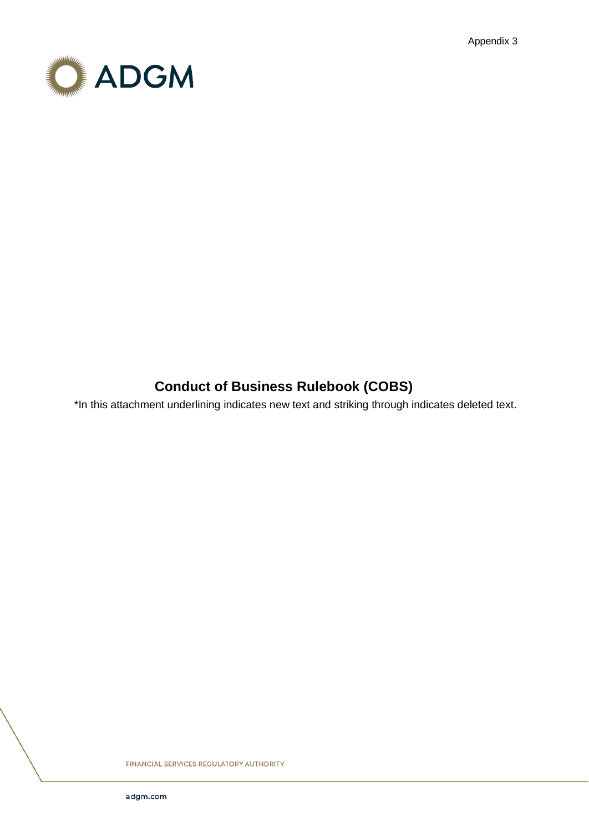Appendix 3



# **Conduct of Business Rulebook (COBS)**

\*In this attachment underlining indicates new text and striking through indicates deleted text.

**FINANCIAL SERVICES REGULATORY AUTHORITY**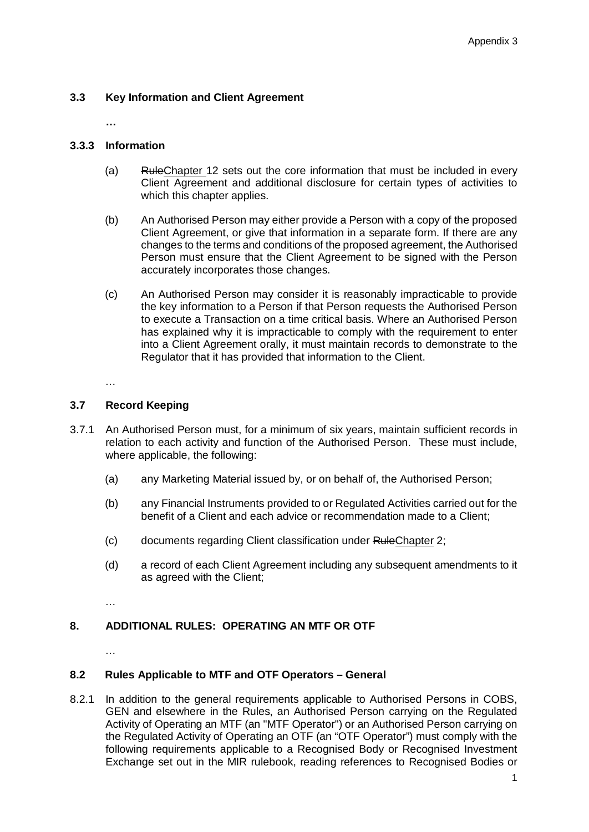# **3.3 Key Information and Client Agreement**

**…**

# **3.3.3 Information**

- (a) RuleChapter 12 sets out the core information that must be included in every Client Agreement and additional disclosure for certain types of activities to which this chapter applies.
- (b) An Authorised Person may either provide a Person with a copy of the proposed Client Agreement, or give that information in a separate form. If there are any changes to the terms and conditions of the proposed agreement, the Authorised Person must ensure that the Client Agreement to be signed with the Person accurately incorporates those changes.
- (c) An Authorised Person may consider it is reasonably impracticable to provide the key information to a Person if that Person requests the Authorised Person to execute a Transaction on a time critical basis. Where an Authorised Person has explained why it is impracticable to comply with the requirement to enter into a Client Agreement orally, it must maintain records to demonstrate to the Regulator that it has provided that information to the Client.

…

# **3.7 Record Keeping**

- 3.7.1 An Authorised Person must, for a minimum of six years, maintain sufficient records in relation to each activity and function of the Authorised Person. These must include, where applicable, the following:
	- (a) any Marketing Material issued by, or on behalf of, the Authorised Person;
	- (b) any Financial Instruments provided to or Regulated Activities carried out for the benefit of a Client and each advice or recommendation made to a Client;
	- (c) documents regarding Client classification under RuleChapter 2;
	- (d) a record of each Client Agreement including any subsequent amendments to it as agreed with the Client;

…

# **8. ADDITIONAL RULES: OPERATING AN MTF OR OTF**

…

# **8.2 Rules Applicable to MTF and OTF Operators – General**

8.2.1 In addition to the general requirements applicable to Authorised Persons in COBS, GEN and elsewhere in the Rules, an Authorised Person carrying on the Regulated Activity of Operating an MTF (an "MTF Operator") or an Authorised Person carrying on the Regulated Activity of Operating an OTF (an "OTF Operator") must comply with the following requirements applicable to a Recognised Body or Recognised Investment Exchange set out in the MIR rulebook, reading references to Recognised Bodies or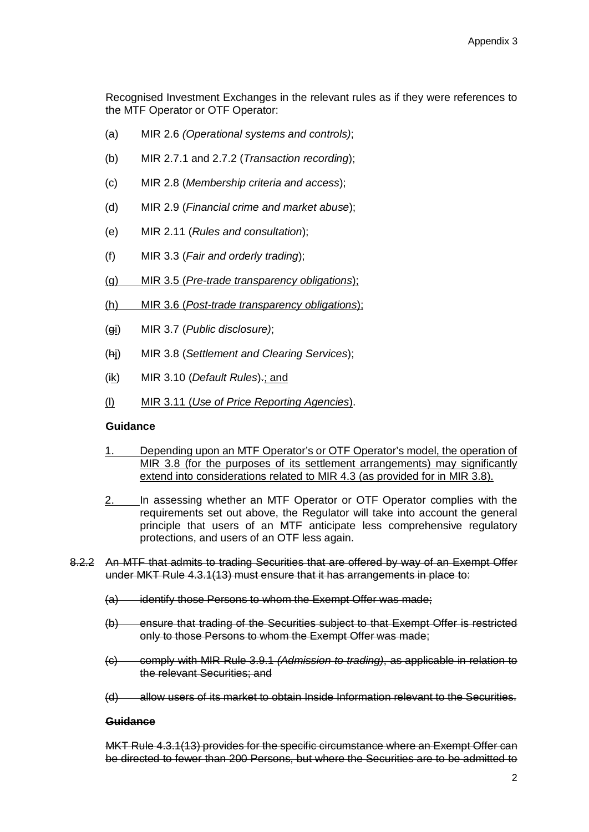Recognised Investment Exchanges in the relevant rules as if they were references to the MTF Operator or OTF Operator:

- (a) MIR 2.6 *(Operational systems and controls)*;
- (b) MIR 2.7.1 and 2.7.2 (*Transaction recording*);
- (c) MIR 2.8 (*Membership criteria and access*);
- (d) MIR 2.9 (*Financial crime and market abuse*);
- (e) MIR 2.11 (*Rules and consultation*);
- (f) MIR 3.3 (*Fair and orderly trading*);
- (g) MIR 3.5 (*Pre-trade transparency obligations*);
- (h) MIR 3.6 (*Post-trade transparency obligations*);
- (gi) MIR 3.7 (*Public disclosure)*;
- (hj) MIR 3.8 (*Settlement and Clearing Services*);
- (ik) MIR 3.10 (*Default Rules*).; and
- (l) MIR 3.11 (*Use of Price Reporting Agencies*).

#### **Guidance**

- 1. Depending upon an MTF Operator's or OTF Operator's model, the operation of MIR 3.8 (for the purposes of its settlement arrangements) may significantly extend into considerations related to MIR 4.3 (as provided for in MIR 3.8).
- 2. In assessing whether an MTF Operator or OTF Operator complies with the requirements set out above, the Regulator will take into account the general principle that users of an MTF anticipate less comprehensive regulatory protections, and users of an OTF less again.
- 8.2.2 An MTF that admits to trading Securities that are offered by way of an Exempt Offer under MKT Rule 4.3.1(13) must ensure that it has arrangements in place to:
	- (a) identify those Persons to whom the Exempt Offer was made;
	- (b) ensure that trading of the Securities subject to that Exempt Offer is restricted only to those Persons to whom the Exempt Offer was made;
	- (c) comply with MIR Rule 3.9.1 *(Admission to trading)*, as applicable in relation to the relevant Securities; and
	- (d) allow users of its market to obtain Inside Information relevant to the Securities.

#### **Guidance**

MKT Rule 4.3.1(13) provides for the specific circumstance where an Exempt Offer can be directed to fewer than 200 Persons, but where the Securities are to be admitted to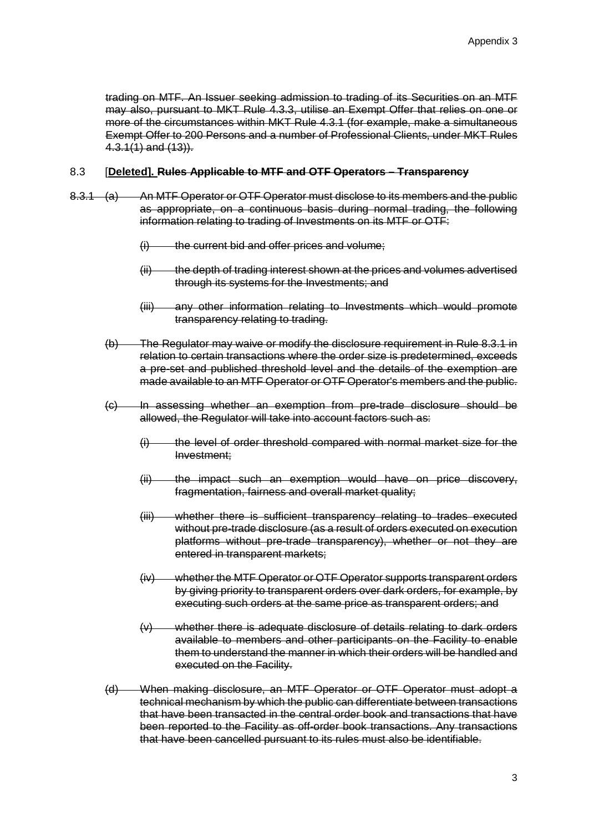trading on MTF. An Issuer seeking admission to trading of its Securities on an MTF may also, pursuant to MKT Rule 4.3.3, utilise an Exempt Offer that relies on one or more of the circumstances within MKT Rule 4.3.1 (for example, make a simultaneous Exempt Offer to 200 Persons and a number of Professional Clients, under MKT Rules  $4.3.1(1)$  and  $(13)$ ).

#### 8.3 [**Deleted]. Rules Applicable to MTF and OTF Operators – Transparency**

- 8.3.1 (a) An MTF Operator or OTF Operator must disclose to its members and the public as appropriate, on a continuous basis during normal trading, the following information relating to trading of Investments on its MTF or OTF:
	- $(i)$  the current bid and offer prices and volume;
	- (ii) the depth of trading interest shown at the prices and volumes advertised through its systems for the Investments; and
	- (iii) any other information relating to Investments which would promote transparency relating to trading.
	- (b) The Regulator may waive or modify the disclosure requirement in Rule 8.3.1 in relation to certain transactions where the order size is predetermined, exceeds a pre-set and published threshold level and the details of the exemption are made available to an MTF Operator or OTF Operator's members and the public.
	- (c) In assessing whether an exemption from pre-trade disclosure should be allowed, the Regulator will take into account factors such as:
		- $(i)$  the level of order threshold compared with normal market size for the Investment;
		- (ii) the impact such an exemption would have on price discovery, fragmentation, fairness and overall market quality;
		- (iii) whether there is sufficient transparency relating to trades executed without pre-trade disclosure (as a result of orders executed on execution platforms without pre-trade transparency), whether or not they are entered in transparent markets;
		- (iv) whether the MTF Operator or OTF Operator supports transparent orders by giving priority to transparent orders over dark orders, for example, by executing such orders at the same price as transparent orders; and
		- (v) whether there is adequate disclosure of details relating to dark orders available to members and other participants on the Facility to enable them to understand the manner in which their orders will be handled and executed on the Facility.
	- (d) When making disclosure, an MTF Operator or OTF Operator must adopt a technical mechanism by which the public can differentiate between transactions that have been transacted in the central order book and transactions that have been reported to the Facility as off-order book transactions. Any transactions that have been cancelled pursuant to its rules must also be identifiable.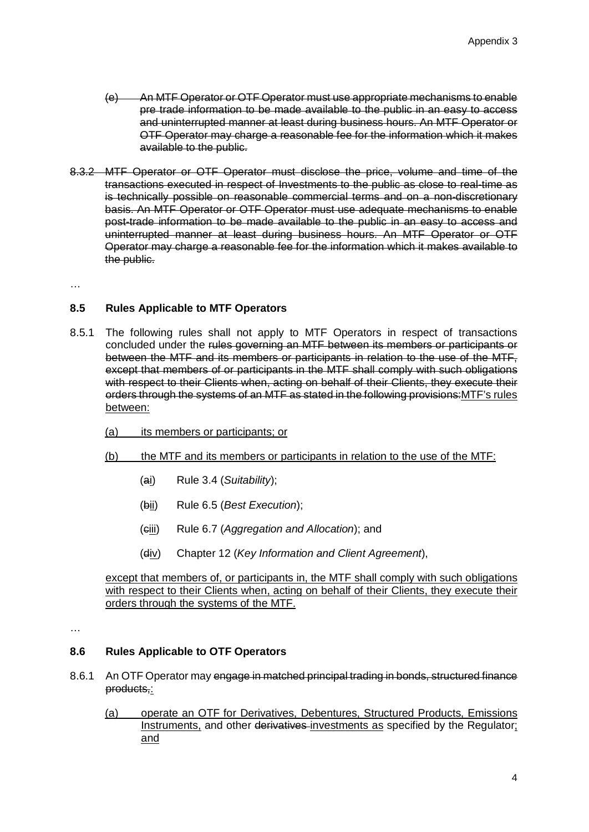- (e) An MTF Operator or OTF Operator must use appropriate mechanisms to enable pre trade information to be made available to the public in an easy to access and uninterrupted manner at least during business hours. An MTF Operator or OTF Operator may charge a reasonable fee for the information which it makes available to the public.
- 8.3.2 MTF Operator or OTF Operator must disclose the price, volume and time of the transactions executed in respect of Investments to the public as close to real-time as is technically possible on reasonable commercial terms and on a non-discretionary basis. An MTF Operator or OTF Operator must use adequate mechanisms to enable post-trade information to be made available to the public in an easy to access and uninterrupted manner at least during business hours. An MTF Operator or OTF Operator may charge a reasonable fee for the information which it makes available to the public.

…

# **8.5 Rules Applicable to MTF Operators**

- 8.5.1 The following rules shall not apply to MTF Operators in respect of transactions concluded under the rules governing an MTF between its members or participants or between the MTF and its members or participants in relation to the use of the MTF, except that members of or participants in the MTF shall comply with such obligations with respect to their Clients when, acting on behalf of their Clients, they execute their orders through the systems of an MTF as stated in the following provisions:MTF's rules between:
	- (a) its members or participants; or
	- (b) the MTF and its members or participants in relation to the use of the MTF:
		- (ai) Rule 3.4 (*Suitability*);
		- (bii) Rule 6.5 (*Best Execution*);
		- (ciii) Rule 6.7 (*Aggregation and Allocation*); and
		- (div) Chapter 12 (*Key Information and Client Agreement*),

except that members of, or participants in, the MTF shall comply with such obligations with respect to their Clients when, acting on behalf of their Clients, they execute their orders through the systems of the MTF.

…

#### **8.6 Rules Applicable to OTF Operators**

- 8.6.1 An OTF Operator may engage in matched principal trading in bonds, structured finance products,:
	- (a) operate an OTF for Derivatives, Debentures, Structured Products, Emissions Instruments, and other derivatives investments as specified by the Regulator; and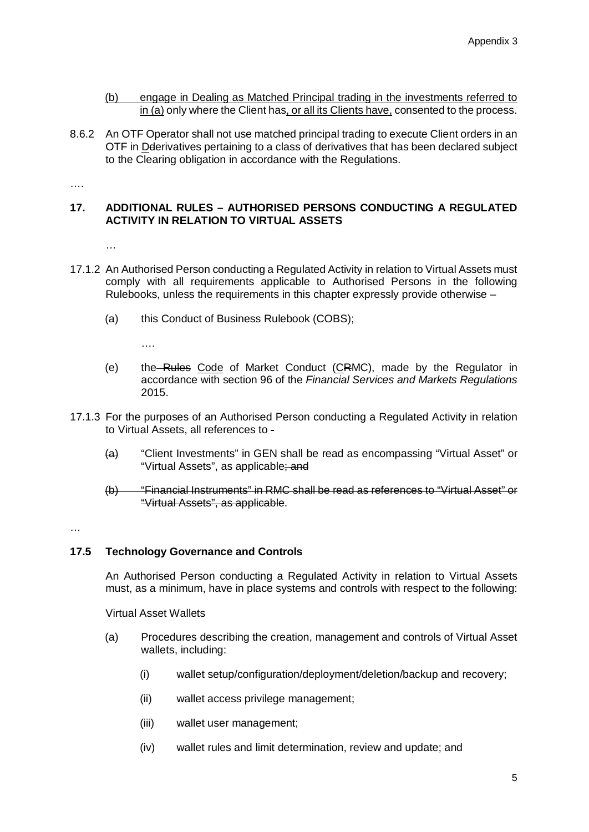- (b) engage in Dealing as Matched Principal trading in the investments referred to in (a) only where the Client has, or all its Clients have, consented to the process.
- 8.6.2 An OTF Operator shall not use matched principal trading to execute Client orders in an OTF in Dderivatives pertaining to a class of derivatives that has been declared subject to the Clearing obligation in accordance with the Regulations.

….

#### **17. ADDITIONAL RULES – AUTHORISED PERSONS CONDUCTING A REGULATED ACTIVITY IN RELATION TO VIRTUAL ASSETS**

…

- 17.1.2 An Authorised Person conducting a Regulated Activity in relation to Virtual Assets must comply with all requirements applicable to Authorised Persons in the following Rulebooks, unless the requirements in this chapter expressly provide otherwise –
	- (a) this Conduct of Business Rulebook (COBS);

….

- (e) the Rules Code of Market Conduct (CRMC), made by the Regulator in accordance with section 96 of the *Financial Services and Markets Regulations* 2015.
- 17.1.3 For the purposes of an Authorised Person conducting a Regulated Activity in relation to Virtual Assets, all references to -
	- (a) "Client Investments" in GEN shall be read as encompassing "Virtual Asset" or "Virtual Assets", as applicable; and
	- (b) "Financial Instruments" in RMC shall be read as references to "Virtual Asset" or "Virtual Assets", as applicable.

…

# **17.5 Technology Governance and Controls**

An Authorised Person conducting a Regulated Activity in relation to Virtual Assets must, as a minimum, have in place systems and controls with respect to the following:

Virtual Asset Wallets

- (a) Procedures describing the creation, management and controls of Virtual Asset wallets, including:
	- (i) wallet setup/configuration/deployment/deletion/backup and recovery;
	- (ii) wallet access privilege management;
	- (iii) wallet user management;
	- (iv) wallet rules and limit determination, review and update; and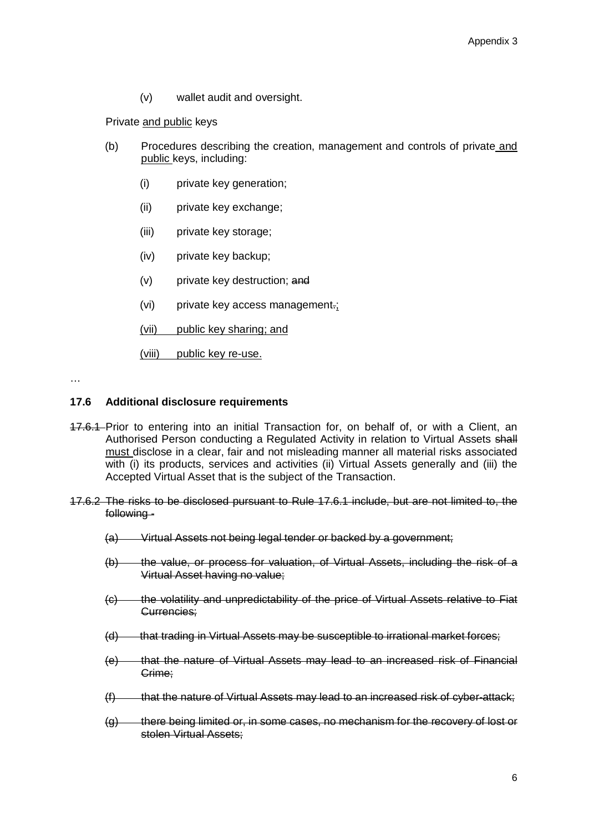(v) wallet audit and oversight.

Private and public keys

- (b) Procedures describing the creation, management and controls of private and public keys, including:
	- (i) private key generation;
	- (ii) private key exchange;
	- (iii) private key storage;
	- (iv) private key backup;
	- (v) private key destruction; and
	- (vi) private key access management.;
	- (vii) public key sharing; and

(viii) public key re-use.

…

#### **17.6 Additional disclosure requirements**

- 17.6.1 Prior to entering into an initial Transaction for, on behalf of, or with a Client, an Authorised Person conducting a Regulated Activity in relation to Virtual Assets shall must disclose in a clear, fair and not misleading manner all material risks associated with (i) its products, services and activities (ii) Virtual Assets generally and (iii) the Accepted Virtual Asset that is the subject of the Transaction.
- 17.6.2 The risks to be disclosed pursuant to Rule 17.6.1 include, but are not limited to, the following -
	- (a) Virtual Assets not being legal tender or backed by a government;
	- (b) the value, or process for valuation, of Virtual Assets, including the risk of a Virtual Asset having no value;
	- (c) the volatility and unpredictability of the price of Virtual Assets relative to Fiat Currencies;
	- (d) that trading in Virtual Assets may be susceptible to irrational market forces;
	- (e) that the nature of Virtual Assets may lead to an increased risk of Financial Crime;
	- (f) that the nature of Virtual Assets may lead to an increased risk of cyber-attack;
	- (g) there being limited or, in some cases, no mechanism for the recovery of lost or stolen Virtual Assets;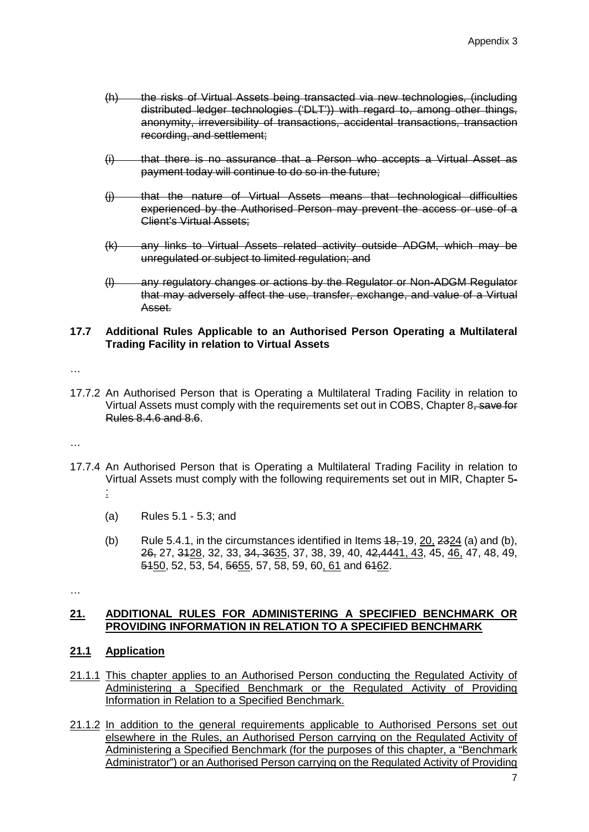- (h) the risks of Virtual Assets being transacted via new technologies, (including distributed ledger technologies ('DLT')) with regard to, among other things, anonymity, irreversibility of transactions, accidental transactions, transaction recording, and settlement;
- (i) that there is no assurance that a Person who accepts a Virtual Asset as payment today will continue to do so in the future;
- (j) that the nature of Virtual Assets means that technological difficulties experienced by the Authorised Person may prevent the access or use of a Client's Virtual Assets;
- (k) any links to Virtual Assets related activity outside ADGM, which may be unregulated or subject to limited regulation; and
- (l) any regulatory changes or actions by the Regulator or Non-ADGM Regulator that may adversely affect the use, transfer, exchange, and value of a Virtual Asset.

#### **17.7 Additional Rules Applicable to an Authorised Person Operating a Multilateral Trading Facility in relation to Virtual Assets**

…

17.7.2 An Authorised Person that is Operating a Multilateral Trading Facility in relation to Virtual Assets must comply with the requirements set out in COBS, Chapter 8, save for Rules 8.4.6 and 8.6.

…

- 17.7.4 An Authorised Person that is Operating a Multilateral Trading Facility in relation to Virtual Assets must comply with the following requirements set out in MIR, Chapter 5-
	- :
	- (a) Rules 5.1 5.3; and
	- (b) Rule 5.4.1, in the circumstances identified in Items  $48, 19, 20, 2324$  (a) and (b), 26, 27, 3128, 32, 33, 34, 3635, 37, 38, 39, 40, 42,4441, 43, 45, 46, 47, 48, 49, 5450, 52, 53, 54, 5655, 57, 58, 59, 60, 61 and 6462.

…

# **21. ADDITIONAL RULES FOR ADMINISTERING A SPECIFIED BENCHMARK OR PROVIDING INFORMATION IN RELATION TO A SPECIFIED BENCHMARK**

# **21.1 Application**

- 21.1.1 This chapter applies to an Authorised Person conducting the Regulated Activity of Administering a Specified Benchmark or the Regulated Activity of Providing Information in Relation to a Specified Benchmark.
- 21.1.2 In addition to the general requirements applicable to Authorised Persons set out elsewhere in the Rules, an Authorised Person carrying on the Regulated Activity of Administering a Specified Benchmark (for the purposes of this chapter, a "Benchmark Administrator") or an Authorised Person carrying on the Regulated Activity of Providing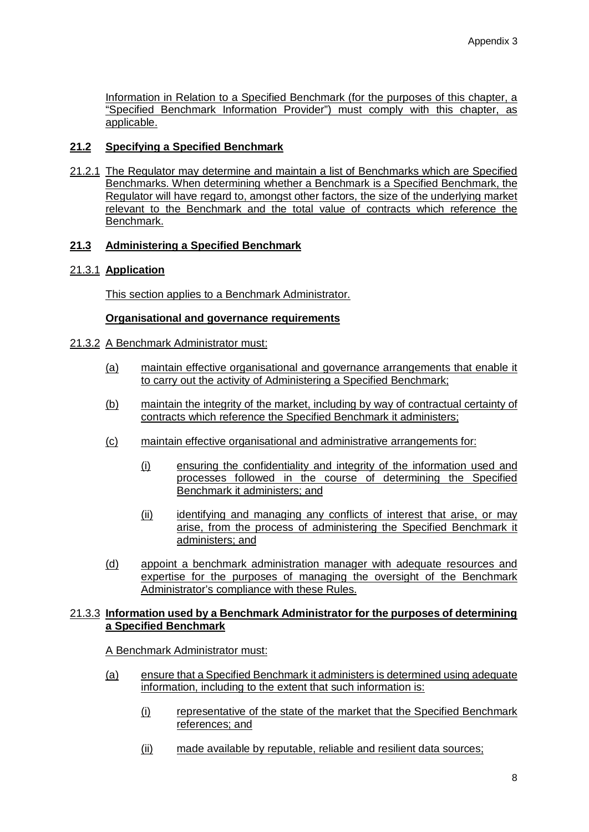Information in Relation to a Specified Benchmark (for the purposes of this chapter, a "Specified Benchmark Information Provider") must comply with this chapter, as applicable.

# **21.2 Specifying a Specified Benchmark**

21.2.1 The Regulator may determine and maintain a list of Benchmarks which are Specified Benchmarks. When determining whether a Benchmark is a Specified Benchmark, the Regulator will have regard to, amongst other factors, the size of the underlying market relevant to the Benchmark and the total value of contracts which reference the Benchmark.

# **21.3 Administering a Specified Benchmark**

# 21.3.1 **Application**

This section applies to a Benchmark Administrator.

# **Organisational and governance requirements**

# 21.3.2 A Benchmark Administrator must:

- (a) maintain effective organisational and governance arrangements that enable it to carry out the activity of Administering a Specified Benchmark;
- (b) maintain the integrity of the market, including by way of contractual certainty of contracts which reference the Specified Benchmark it administers;
- (c) maintain effective organisational and administrative arrangements for:
	- (i) ensuring the confidentiality and integrity of the information used and processes followed in the course of determining the Specified Benchmark it administers; and
	- (ii) identifying and managing any conflicts of interest that arise, or may arise, from the process of administering the Specified Benchmark it administers; and
- (d) appoint a benchmark administration manager with adequate resources and expertise for the purposes of managing the oversight of the Benchmark Administrator's compliance with these Rules.

#### 21.3.3 **Information used by a Benchmark Administrator for the purposes of determining a Specified Benchmark**

# A Benchmark Administrator must:

- (a) ensure that a Specified Benchmark it administers is determined using adequate information, including to the extent that such information is:
	- (i) representative of the state of the market that the Specified Benchmark references; and
	- (ii) made available by reputable, reliable and resilient data sources;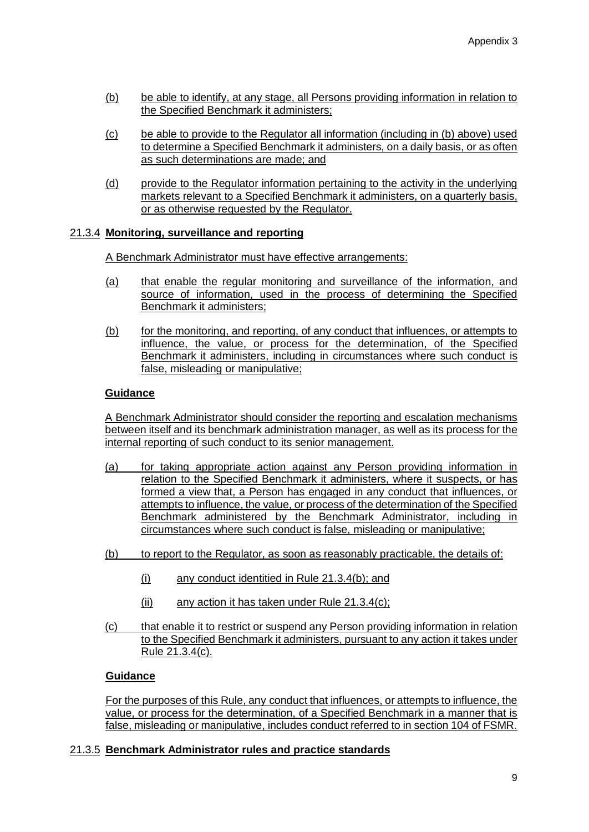- (b) be able to identify, at any stage, all Persons providing information in relation to the Specified Benchmark it administers;
- (c) be able to provide to the Regulator all information (including in (b) above) used to determine a Specified Benchmark it administers, on a daily basis, or as often as such determinations are made; and
- (d) provide to the Regulator information pertaining to the activity in the underlying markets relevant to a Specified Benchmark it administers, on a quarterly basis, or as otherwise requested by the Regulator.

# 21.3.4 **Monitoring, surveillance and reporting**

A Benchmark Administrator must have effective arrangements:

- (a) that enable the regular monitoring and surveillance of the information, and source of information, used in the process of determining the Specified Benchmark it administers;
- (b) for the monitoring, and reporting, of any conduct that influences, or attempts to influence, the value, or process for the determination, of the Specified Benchmark it administers, including in circumstances where such conduct is false, misleading or manipulative;

# **Guidance**

A Benchmark Administrator should consider the reporting and escalation mechanisms between itself and its benchmark administration manager, as well as its process for the internal reporting of such conduct to its senior management.

- (a) for taking appropriate action against any Person providing information in relation to the Specified Benchmark it administers, where it suspects, or has formed a view that, a Person has engaged in any conduct that influences, or attempts to influence, the value, or process of the determination of the Specified Benchmark administered by the Benchmark Administrator, including in circumstances where such conduct is false, misleading or manipulative;
- (b) to report to the Regulator, as soon as reasonably practicable, the details of:
	- (i) any conduct identitied in Rule 21.3.4(b); and
	- (ii) any action it has taken under Rule 21.3.4(c);
- (c) that enable it to restrict or suspend any Person providing information in relation to the Specified Benchmark it administers, pursuant to any action it takes under Rule 21.3.4(c).

# **Guidance**

For the purposes of this Rule, any conduct that influences, or attempts to influence, the value, or process for the determination, of a Specified Benchmark in a manner that is false, misleading or manipulative, includes conduct referred to in section 104 of FSMR.

# 21.3.5 **Benchmark Administrator rules and practice standards**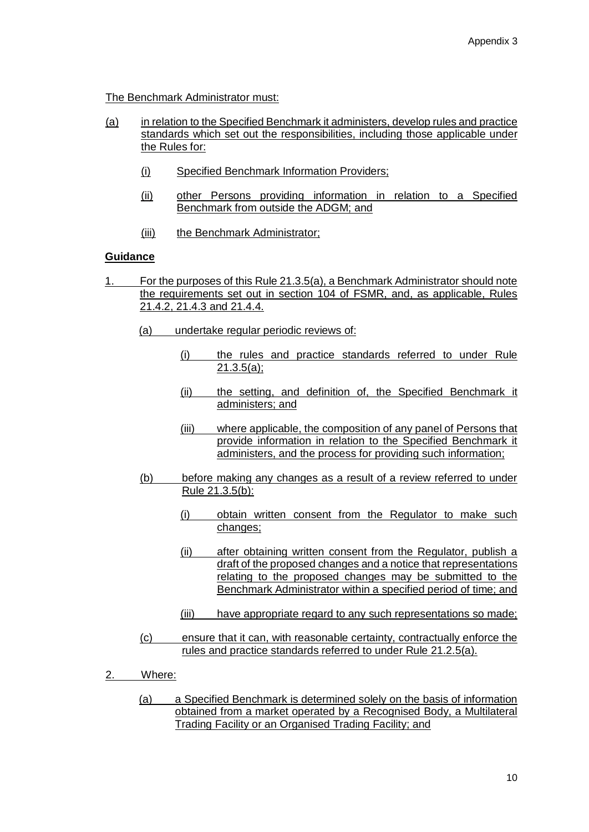The Benchmark Administrator must:

- (a) in relation to the Specified Benchmark it administers, develop rules and practice standards which set out the responsibilities, including those applicable under the Rules for:
	- (i) Specified Benchmark Information Providers;
	- (ii) other Persons providing information in relation to a Specified Benchmark from outside the ADGM; and
	- (iii) the Benchmark Administrator;

#### **Guidance**

- 1. For the purposes of this Rule 21.3.5(a), a Benchmark Administrator should note the requirements set out in section 104 of FSMR, and, as applicable, Rules 21.4.2, 21.4.3 and 21.4.4.
	- (a) undertake regular periodic reviews of:
		- (i) the rules and practice standards referred to under Rule 21.3.5(a);
		- (ii) the setting, and definition of, the Specified Benchmark it administers; and
		- (iii) where applicable, the composition of any panel of Persons that provide information in relation to the Specified Benchmark it administers, and the process for providing such information;
	- (b) before making any changes as a result of a review referred to under Rule 21.3.5(b):
		- (i) obtain written consent from the Regulator to make such changes;
		- (ii) after obtaining written consent from the Regulator, publish a draft of the proposed changes and a notice that representations relating to the proposed changes may be submitted to the Benchmark Administrator within a specified period of time; and
		- (iii) have appropriate regard to any such representations so made;
	- (c) ensure that it can, with reasonable certainty, contractually enforce the rules and practice standards referred to under Rule 21.2.5(a).
- 2. Where:
	- (a) a Specified Benchmark is determined solely on the basis of information obtained from a market operated by a Recognised Body, a Multilateral Trading Facility or an Organised Trading Facility; and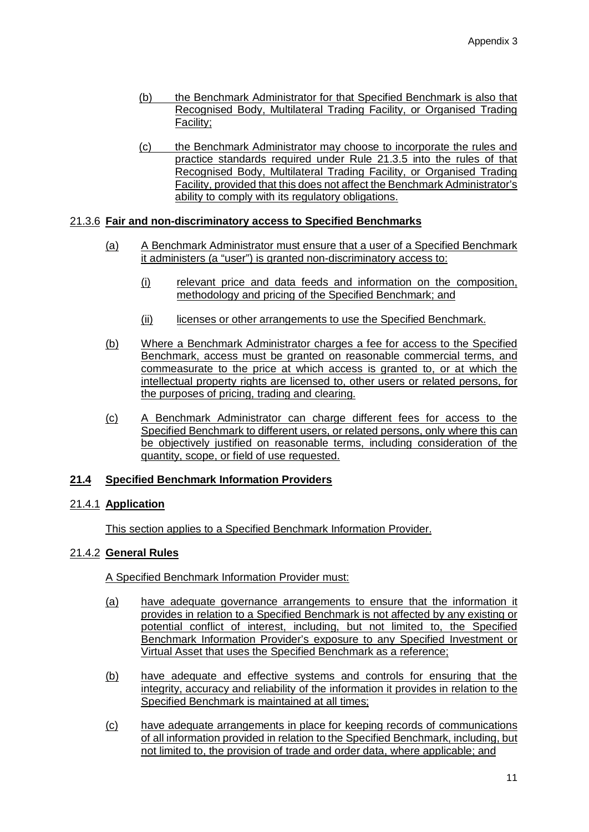- (b) the Benchmark Administrator for that Specified Benchmark is also that Recognised Body, Multilateral Trading Facility, or Organised Trading Facility;
- (c) the Benchmark Administrator may choose to incorporate the rules and practice standards required under Rule 21.3.5 into the rules of that Recognised Body, Multilateral Trading Facility, or Organised Trading Facility, provided that this does not affect the Benchmark Administrator's ability to comply with its regulatory obligations.

# 21.3.6 **Fair and non-discriminatory access to Specified Benchmarks**

- (a) A Benchmark Administrator must ensure that a user of a Specified Benchmark it administers (a "user") is granted non-discriminatory access to:
	- (i) relevant price and data feeds and information on the composition, methodology and pricing of the Specified Benchmark; and
	- (ii) licenses or other arrangements to use the Specified Benchmark.
- (b) Where a Benchmark Administrator charges a fee for access to the Specified Benchmark, access must be granted on reasonable commercial terms, and commeasurate to the price at which access is granted to, or at which the intellectual property rights are licensed to, other users or related persons, for the purposes of pricing, trading and clearing.
- (c) A Benchmark Administrator can charge different fees for access to the Specified Benchmark to different users, or related persons, only where this can be objectively justified on reasonable terms, including consideration of the quantity, scope, or field of use requested.

# **21.4 Specified Benchmark Information Providers**

# 21.4.1 **Application**

This section applies to a Specified Benchmark Information Provider.

# 21.4.2 **General Rules**

A Specified Benchmark Information Provider must:

- (a) have adequate governance arrangements to ensure that the information it provides in relation to a Specified Benchmark is not affected by any existing or potential conflict of interest, including, but not limited to, the Specified Benchmark Information Provider's exposure to any Specified Investment or Virtual Asset that uses the Specified Benchmark as a reference;
- (b) have adequate and effective systems and controls for ensuring that the integrity, accuracy and reliability of the information it provides in relation to the Specified Benchmark is maintained at all times;
- (c) have adequate arrangements in place for keeping records of communications of all information provided in relation to the Specified Benchmark, including, but not limited to, the provision of trade and order data, where applicable; and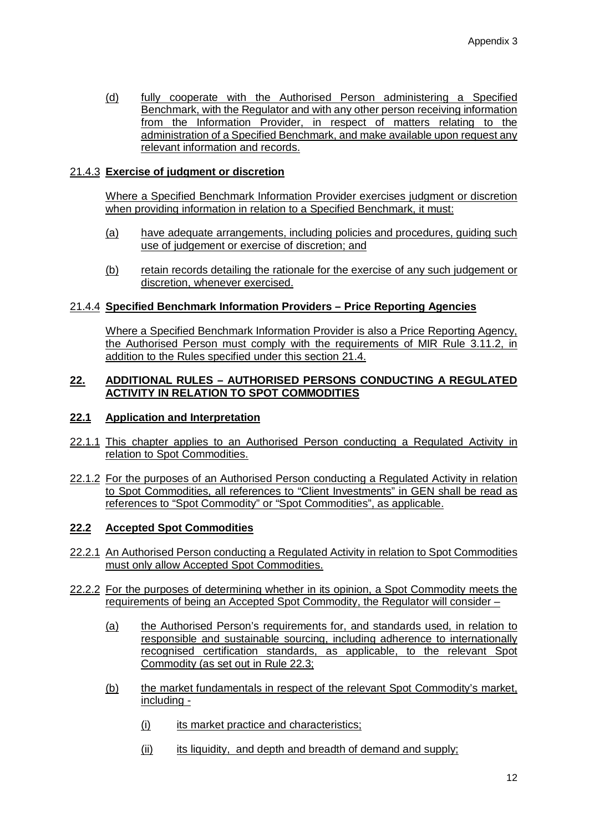(d) fully cooperate with the Authorised Person administering a Specified Benchmark, with the Regulator and with any other person receiving information from the Information Provider, in respect of matters relating to the administration of a Specified Benchmark, and make available upon request any relevant information and records.

# 21.4.3 **Exercise of judgment or discretion**

Where a Specified Benchmark Information Provider exercises judgment or discretion when providing information in relation to a Specified Benchmark, it must:

- (a) have adequate arrangements, including policies and procedures, guiding such use of judgement or exercise of discretion; and
- (b) retain records detailing the rationale for the exercise of any such judgement or discretion, whenever exercised.

# 21.4.4 **Specified Benchmark Information Providers – Price Reporting Agencies**

Where a Specified Benchmark Information Provider is also a Price Reporting Agency, the Authorised Person must comply with the requirements of MIR Rule 3.11.2, in addition to the Rules specified under this section 21.4.

# **22. ADDITIONAL RULES – AUTHORISED PERSONS CONDUCTING A REGULATED ACTIVITY IN RELATION TO SPOT COMMODITIES**

## **22.1 Application and Interpretation**

- 22.1.1 This chapter applies to an Authorised Person conducting a Regulated Activity in relation to Spot Commodities.
- 22.1.2 For the purposes of an Authorised Person conducting a Regulated Activity in relation to Spot Commodities, all references to "Client Investments" in GEN shall be read as references to "Spot Commodity" or "Spot Commodities", as applicable.

# **22.2 Accepted Spot Commodities**

- 22.2.1 An Authorised Person conducting a Regulated Activity in relation to Spot Commodities must only allow Accepted Spot Commodities.
- 22.2.2 For the purposes of determining whether in its opinion, a Spot Commodity meets the requirements of being an Accepted Spot Commodity, the Regulator will consider –
	- (a) the Authorised Person's requirements for, and standards used, in relation to responsible and sustainable sourcing, including adherence to internationally recognised certification standards, as applicable, to the relevant Spot Commodity (as set out in Rule 22.3;
	- (b) the market fundamentals in respect of the relevant Spot Commodity's market, including -
		- (i) its market practice and characteristics;
		- (ii) its liquidity, and depth and breadth of demand and supply;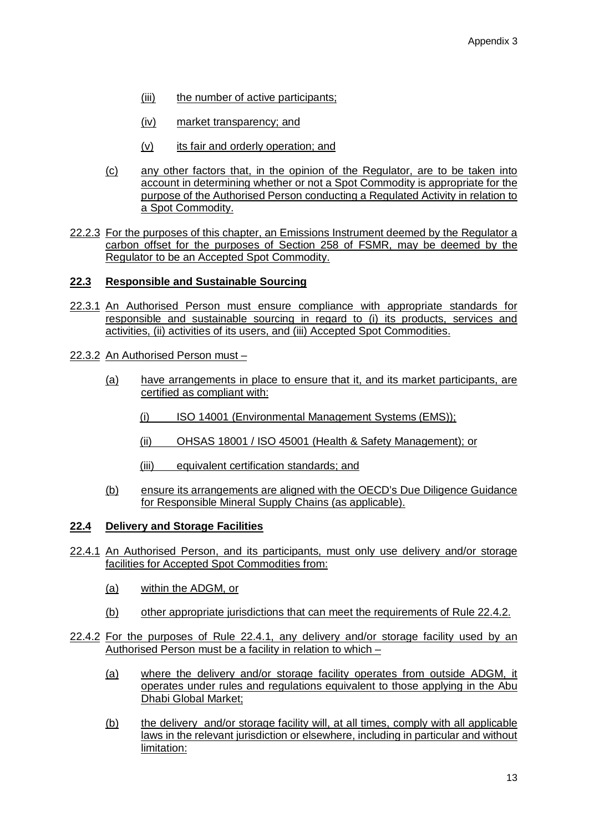- (iii) the number of active participants;
- (iv) market transparency; and
- (v) its fair and orderly operation; and
- (c) any other factors that, in the opinion of the Regulator, are to be taken into account in determining whether or not a Spot Commodity is appropriate for the purpose of the Authorised Person conducting a Regulated Activity in relation to a Spot Commodity.
- 22.2.3 For the purposes of this chapter, an Emissions Instrument deemed by the Regulator a carbon offset for the purposes of Section 258 of FSMR, may be deemed by the Regulator to be an Accepted Spot Commodity.

#### **22.3 Responsible and Sustainable Sourcing**

- 22.3.1 An Authorised Person must ensure compliance with appropriate standards for responsible and sustainable sourcing in regard to (i) its products, services and activities, (ii) activities of its users, and (iii) Accepted Spot Commodities.
- 22.3.2 An Authorised Person must
	- (a) have arrangements in place to ensure that it, and its market participants, are certified as compliant with:
		- (i) ISO 14001 (Environmental Management Systems (EMS));
		- (ii) OHSAS 18001 / ISO 45001 (Health & Safety Management); or
		- (iii) equivalent certification standards; and
	- (b) ensure its arrangements are aligned with the OECD's Due Diligence Guidance for Responsible Mineral Supply Chains (as applicable).

#### **22.4 Delivery and Storage Facilities**

- 22.4.1 An Authorised Person, and its participants, must only use delivery and/or storage facilities for Accepted Spot Commodities from:
	- (a) within the ADGM, or
	- (b) other appropriate jurisdictions that can meet the requirements of Rule 22.4.2.
- 22.4.2 For the purposes of Rule 22.4.1, any delivery and/or storage facility used by an Authorised Person must be a facility in relation to which –
	- (a) where the delivery and/or storage facility operates from outside ADGM, it operates under rules and regulations equivalent to those applying in the Abu Dhabi Global Market;
	- (b) the delivery and/or storage facility will, at all times, comply with all applicable laws in the relevant jurisdiction or elsewhere, including in particular and without limitation: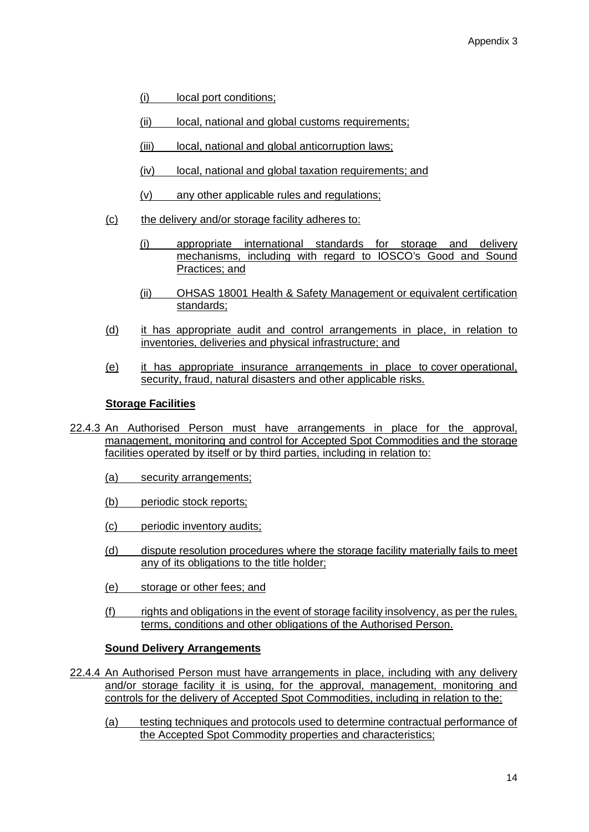- (i) local port conditions;
- (ii) local, national and global customs requirements;
- (iii) local, national and global anticorruption laws;
- (iv) local, national and global taxation requirements; and
- (v) any other applicable rules and regulations;
- (c) the delivery and/or storage facility adheres to:
	- (i) appropriate international standards for storage and delivery mechanisms, including with regard to IOSCO's Good and Sound Practices; and
	- (ii) OHSAS 18001 Health & Safety Management or equivalent certification standards;
- (d) it has appropriate audit and control arrangements in place, in relation to inventories, deliveries and physical infrastructure; and
- (e) it has appropriate insurance arrangements in place to cover operational, security, fraud, natural disasters and other applicable risks.

# **Storage Facilities**

- 22.4.3 An Authorised Person must have arrangements in place for the approval, management, monitoring and control for Accepted Spot Commodities and the storage facilities operated by itself or by third parties, including in relation to:
	- (a) security arrangements;
	- (b) periodic stock reports;
	- (c) periodic inventory audits;
	- (d) dispute resolution procedures where the storage facility materially fails to meet any of its obligations to the title holder;
	- (e) storage or other fees; and
	- (f) rights and obligations in the event of storage facility insolvency, as per the rules, terms, conditions and other obligations of the Authorised Person.

# **Sound Delivery Arrangements**

- 22.4.4 An Authorised Person must have arrangements in place, including with any delivery and/or storage facility it is using, for the approval, management, monitoring and controls for the delivery of Accepted Spot Commodities, including in relation to the:
	- (a) testing techniques and protocols used to determine contractual performance of the Accepted Spot Commodity properties and characteristics;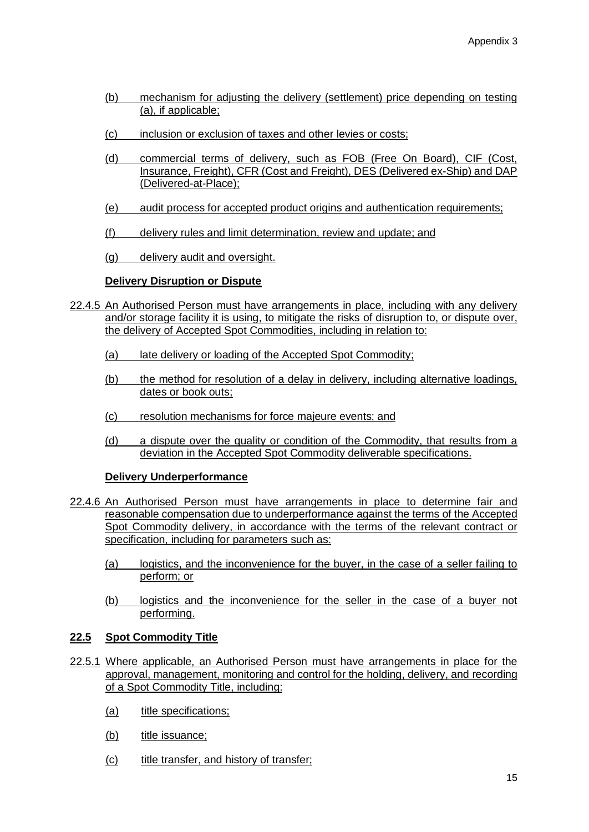- (b) mechanism for adjusting the delivery (settlement) price depending on testing (a), if applicable;
- (c) inclusion or exclusion of taxes and other levies or costs;
- (d) commercial terms of delivery, such as FOB (Free On Board), CIF (Cost, Insurance, Freight), CFR (Cost and Freight), DES (Delivered ex-Ship) and DAP (Delivered-at-Place);
- (e) audit process for accepted product origins and authentication requirements;
- (f) delivery rules and limit determination, review and update; and
- (g) delivery audit and oversight.

# **Delivery Disruption or Dispute**

- 22.4.5 An Authorised Person must have arrangements in place, including with any delivery and/or storage facility it is using, to mitigate the risks of disruption to, or dispute over, the delivery of Accepted Spot Commodities, including in relation to:
	- (a) late delivery or loading of the Accepted Spot Commodity;
	- (b) the method for resolution of a delay in delivery, including alternative loadings, dates or book outs;
	- (c) resolution mechanisms for force majeure events; and
	- (d) a dispute over the quality or condition of the Commodity, that results from a deviation in the Accepted Spot Commodity deliverable specifications.

# **Delivery Underperformance**

- 22.4.6 An Authorised Person must have arrangements in place to determine fair and reasonable compensation due to underperformance against the terms of the Accepted Spot Commodity delivery, in accordance with the terms of the relevant contract or specification, including for parameters such as:
	- (a) logistics, and the inconvenience for the buyer, in the case of a seller failing to perform; or
	- (b) logistics and the inconvenience for the seller in the case of a buyer not performing.

# **22.5 Spot Commodity Title**

- 22.5.1 Where applicable, an Authorised Person must have arrangements in place for the approval, management, monitoring and control for the holding, delivery, and recording of a Spot Commodity Title, including:
	- (a) title specifications;
	- (b) title issuance;
	- (c) title transfer, and history of transfer;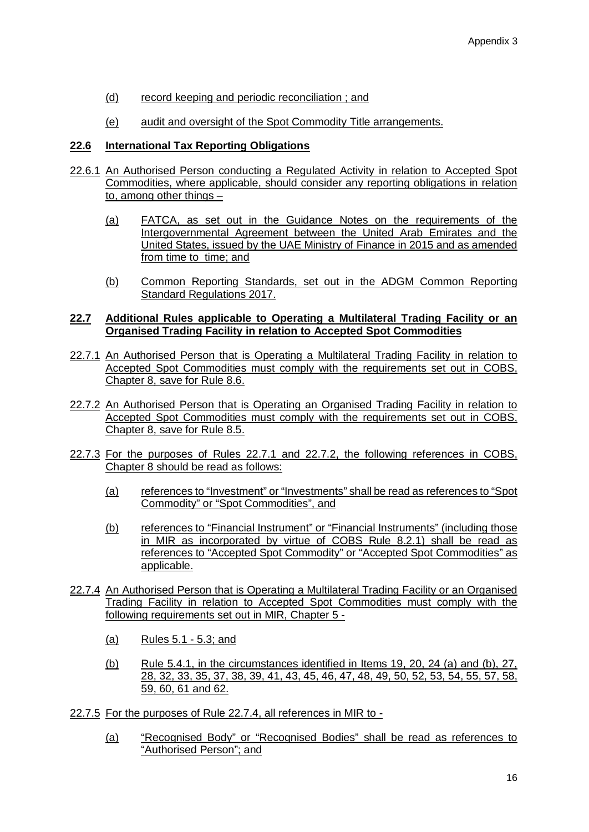- (d) record keeping and periodic reconciliation ; and
- (e) audit and oversight of the Spot Commodity Title arrangements.

# **22.6 International Tax Reporting Obligations**

- 22.6.1 An Authorised Person conducting a Regulated Activity in relation to Accepted Spot Commodities, where applicable, should consider any reporting obligations in relation to, among other things –
	- (a) FATCA, as set out in the Guidance Notes on the requirements of the Intergovernmental Agreement between the United Arab Emirates and the United States, issued by the UAE Ministry of Finance in 2015 and as amended from time to time; and
	- (b) Common Reporting Standards, set out in the ADGM Common Reporting Standard Regulations 2017.

## **22.7 Additional Rules applicable to Operating a Multilateral Trading Facility or an Organised Trading Facility in relation to Accepted Spot Commodities**

- 22.7.1 An Authorised Person that is Operating a Multilateral Trading Facility in relation to Accepted Spot Commodities must comply with the requirements set out in COBS, Chapter 8, save for Rule 8.6.
- 22.7.2 An Authorised Person that is Operating an Organised Trading Facility in relation to Accepted Spot Commodities must comply with the requirements set out in COBS, Chapter 8, save for Rule 8.5.
- 22.7.3 For the purposes of Rules 22.7.1 and 22.7.2, the following references in COBS, Chapter 8 should be read as follows:
	- (a) references to "Investment" or "Investments" shall be read as references to "Spot Commodity" or "Spot Commodities", and
	- (b) references to "Financial Instrument" or "Financial Instruments" (including those in MIR as incorporated by virtue of COBS Rule 8.2.1) shall be read as references to "Accepted Spot Commodity" or "Accepted Spot Commodities" as applicable.
- 22.7.4 An Authorised Person that is Operating a Multilateral Trading Facility or an Organised Trading Facility in relation to Accepted Spot Commodities must comply with the following requirements set out in MIR, Chapter 5 -
	- (a) Rules 5.1 5.3; and
	- (b) Rule 5.4.1, in the circumstances identified in Items 19, 20, 24 (a) and (b), 27, 28, 32, 33, 35, 37, 38, 39, 41, 43, 45, 46, 47, 48, 49, 50, 52, 53, 54, 55, 57, 58, 59, 60, 61 and 62.
- 22.7.5 For the purposes of Rule 22.7.4, all references in MIR to
	- (a) "Recognised Body" or "Recognised Bodies" shall be read as references to "Authorised Person"; and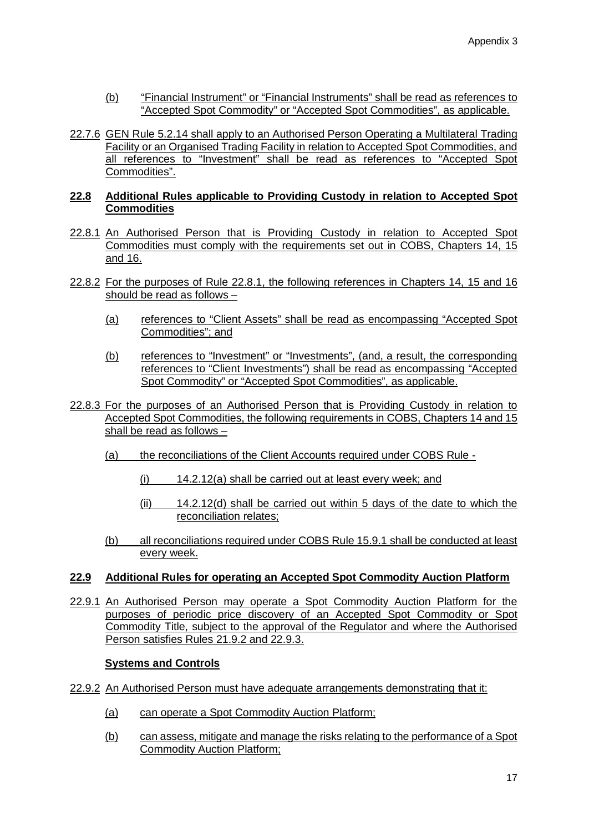- (b) "Financial Instrument" or "Financial Instruments" shall be read as references to "Accepted Spot Commodity" or "Accepted Spot Commodities", as applicable.
- 22.7.6 GEN Rule 5.2.14 shall apply to an Authorised Person Operating a Multilateral Trading Facility or an Organised Trading Facility in relation to Accepted Spot Commodities, and all references to "Investment" shall be read as references to "Accepted Spot Commodities".

# **22.8 Additional Rules applicable to Providing Custody in relation to Accepted Spot Commodities**

- 22.8.1 An Authorised Person that is Providing Custody in relation to Accepted Spot Commodities must comply with the requirements set out in COBS, Chapters 14, 15 and 16.
- 22.8.2 For the purposes of Rule 22.8.1, the following references in Chapters 14, 15 and 16 should be read as follows –
	- (a) references to "Client Assets" shall be read as encompassing "Accepted Spot Commodities"; and
	- (b) references to "Investment" or "Investments", (and, a result, the corresponding references to "Client Investments") shall be read as encompassing "Accepted Spot Commodity" or "Accepted Spot Commodities", as applicable.
- 22.8.3 For the purposes of an Authorised Person that is Providing Custody in relation to Accepted Spot Commodities, the following requirements in COBS, Chapters 14 and 15 shall be read as follows –
	- (a) the reconciliations of the Client Accounts required under COBS Rule
		- (i) 14.2.12(a) shall be carried out at least every week; and
		- $(i)$  14.2.12(d) shall be carried out within 5 days of the date to which the reconciliation relates;
	- (b) all reconciliations required under COBS Rule 15.9.1 shall be conducted at least every week.

# **22.9 Additional Rules for operating an Accepted Spot Commodity Auction Platform**

22.9.1 An Authorised Person may operate a Spot Commodity Auction Platform for the purposes of periodic price discovery of an Accepted Spot Commodity or Spot Commodity Title, subject to the approval of the Regulator and where the Authorised Person satisfies Rules 21.9.2 and 22.9.3.

# **Systems and Controls**

- 22.9.2 An Authorised Person must have adequate arrangements demonstrating that it:
	- (a) can operate a Spot Commodity Auction Platform;
	- (b) can assess, mitigate and manage the risks relating to the performance of a Spot Commodity Auction Platform;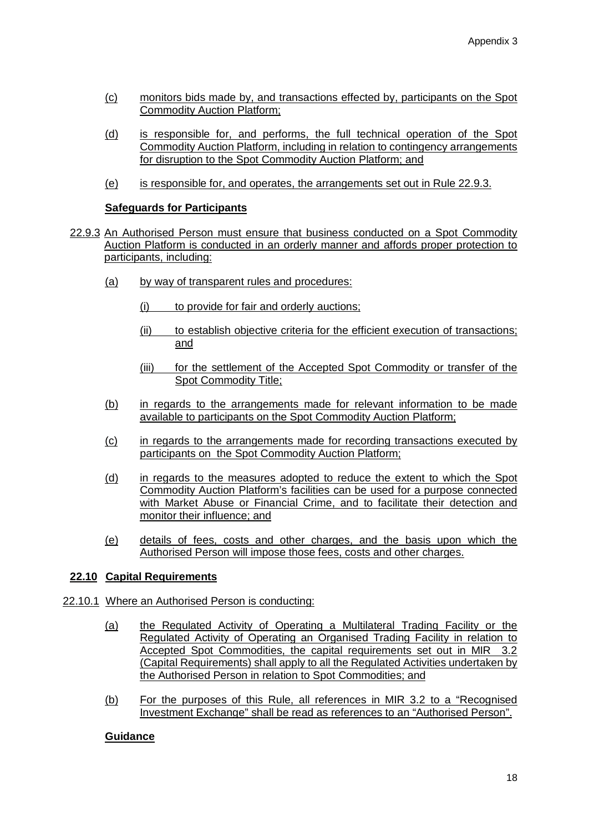- (c) monitors bids made by, and transactions effected by, participants on the Spot Commodity Auction Platform;
- (d) is responsible for, and performs, the full technical operation of the Spot Commodity Auction Platform, including in relation to contingency arrangements for disruption to the Spot Commodity Auction Platform; and
- (e) is responsible for, and operates, the arrangements set out in Rule 22.9.3.

### **Safeguards for Participants**

- 22.9.3 An Authorised Person must ensure that business conducted on a Spot Commodity Auction Platform is conducted in an orderly manner and affords proper protection to participants, including:
	- (a) by way of transparent rules and procedures:
		- (i) to provide for fair and orderly auctions;
		- (ii) to establish objective criteria for the efficient execution of transactions; and
		- (iii) for the settlement of the Accepted Spot Commodity or transfer of the Spot Commodity Title;
	- (b) in regards to the arrangements made for relevant information to be made available to participants on the Spot Commodity Auction Platform;
	- (c) in regards to the arrangements made for recording transactions executed by participants on the Spot Commodity Auction Platform;
	- (d) in regards to the measures adopted to reduce the extent to which the Spot Commodity Auction Platform's facilities can be used for a purpose connected with Market Abuse or Financial Crime, and to facilitate their detection and monitor their influence; and
	- (e) details of fees, costs and other charges, and the basis upon which the Authorised Person will impose those fees, costs and other charges.

# **22.10 Capital Requirements**

- 22.10.1 Where an Authorised Person is conducting:
	- (a) the Regulated Activity of Operating a Multilateral Trading Facility or the Regulated Activity of Operating an Organised Trading Facility in relation to Accepted Spot Commodities, the capital requirements set out in MIR 3.2 (Capital Requirements) shall apply to all the Regulated Activities undertaken by the Authorised Person in relation to Spot Commodities; and
	- (b) For the purposes of this Rule, all references in MIR 3.2 to a "Recognised Investment Exchange" shall be read as references to an "Authorised Person".

# **Guidance**